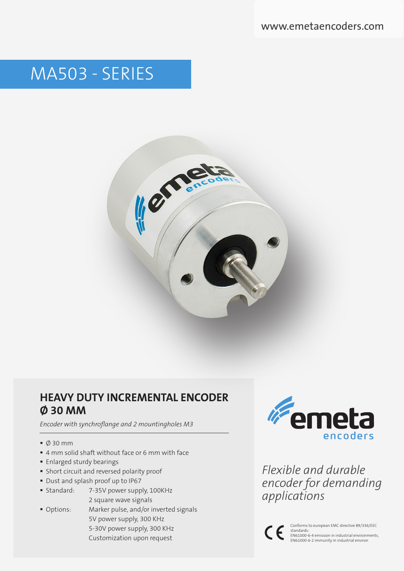www.emetaencoders.com

# MA503 - SERIES



# **HEAVY DUTY INCREMENTAL ENCODER Ø 30 MM**

*Encoder with synchroflange and 2 mountingholes M3*

- Ø 30 mm
- 4 mm solid shaft without face or 6 mm with face
- **Enlarged sturdy bearings**
- Short circuit and reversed polarity proof
- Dust and splash proof up to IP67
- Standard: 7-35V power supply, 100KHz 2 square wave signals
- Options: Marker pulse, and/or inverted signals 5V power supply, 300 KHz 5-30V power supply, 300 KHz Customization upon request



*Flexible and durable encoder for demanding applications*



Conforms to european EMC directive 89/336/EEC standards: EN61000-6-4 emission in industrial environments, EN61000-6-2 immunity in industrial environ